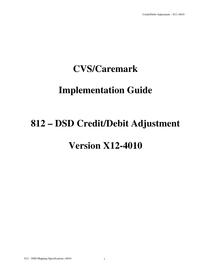## **CVS/Caremark**

## **Implementation Guide**

## **812 – DSD Credit/Debit Adjustment**

## **Version X12-4010**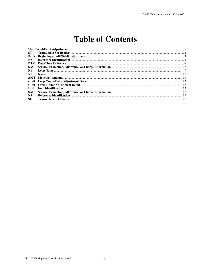### **Table of Contents**

| ST.            |  |
|----------------|--|
| <b>BCD</b>     |  |
| N9             |  |
| <b>DTM</b>     |  |
| <b>SAC</b>     |  |
| $\mathbf{N}$ 1 |  |
| $\mathbf{N}$ 1 |  |
|                |  |
| CDD.           |  |
| <b>CDD</b>     |  |
| LIN            |  |
| <b>SAC</b>     |  |
| N9             |  |
| <b>SE</b>      |  |
|                |  |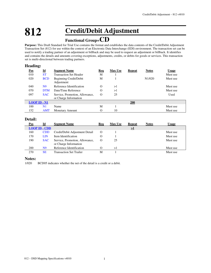## **812 Credit/Debit Adjustment**

### **Functional Group=CD**

**Purpose:** This Draft Standard for Trial Use contains the format and establishes the data contents of the Credit/Debit Adjustment Transaction Set (812) for use within the context of an Electronic Data Interchange (EDI) environment. The transaction set can be used to notify a trading partner of an adjustment or billback and may be used to request an adjustment or billback. It identifies and contains the details and amounts covering exceptions, adjustments, credits, or debits for goods or services. This transaction set is multi-directional between trading partners.

#### **Heading:**

| $\underline{\mathrm{Pos}}$ | $\underline{\mathbf{Id}}$ | <b>Segment Name</b>                         | Req | <b>Max Use</b> | <b>Repeat</b> | <b>Notes</b>        | <u>Usage</u> |
|----------------------------|---------------------------|---------------------------------------------|-----|----------------|---------------|---------------------|--------------|
| 010                        | <b>ST</b>                 | <b>Transaction Set Header</b>               | M   |                |               |                     | Must use     |
| 020                        | <b>BCD</b>                | <b>Beginning Credit/Debit</b><br>Adjustment | M   |                |               | N <sub>1</sub> /020 | Must use     |
| 040                        | N <sub>9</sub>            | Reference Identification                    | O   | >1             |               |                     | Must use     |
| 070                        | <b>DTM</b>                | Date/Time Reference                         | O   | >1             |               |                     | Must use     |
| 097                        | <b>SAC</b>                | Service, Promotion, Allowance,              | O   | 25             |               |                     | Used         |
|                            |                           | or Charge Information                       |     |                |               |                     |              |
| $LOOP$ ID $\text{-}$ N1    |                           |                                             |     |                | 200           |                     |              |
| 100                        | N1                        | Name                                        | М   |                |               |                     | Must use     |
| 152                        | <b>AMT</b>                | Monetary Amount                             |     | 10             |               |                     | Must use     |

#### **Detail:**

| Pos | Id                   | <b>Segment Name</b>                                     | Req              | <b>Max Use</b> | <b>Repeat</b>       | <b>Notes</b> | Usage    |
|-----|----------------------|---------------------------------------------------------|------------------|----------------|---------------------|--------------|----------|
|     | <b>LOOP ID - CDD</b> |                                                         |                  |                | $\geq$ <sup>1</sup> |              |          |
| 160 | <b>CDD</b>           | Credit/Debit Adjustment Detail                          | $\Omega$         |                |                     |              | Must use |
| 170 | LIN                  | Item Identification                                     |                  |                |                     |              | Must use |
| 190 | <b>SAC</b>           | Service, Promotion, Allowance,<br>or Charge Information | $\left( \right)$ | 25             |                     |              | Must use |
| 200 | N9                   | Reference Identification                                |                  | >1             |                     |              | Must use |
| 270 | SE                   | Transaction Set Trailer                                 | M                |                |                     |              | Must use |

#### **Notes:**

1/020 BCD05 indicates whether the net of the detail is a credit or a debit.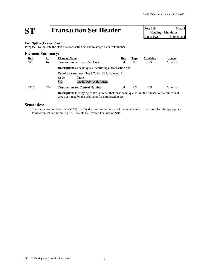# **ST Transaction Set Header Pos:** 010 **Max:** 1<br> **Pos:** 010 **Max:** 1<br> **Loop:** N/A **Elements:** 2

**Heading - Mandatory Elements: 2** 

**User Option (Usage):** Must use

**Purpose:** To indicate the start of a transaction set and to assign a control number

| <b>Element Summary:</b> |                           |                                                                                                                                                                    |     |             |         |              |
|-------------------------|---------------------------|--------------------------------------------------------------------------------------------------------------------------------------------------------------------|-----|-------------|---------|--------------|
| <u>Ref</u>              | $\underline{\mathbf{Id}}$ | <b>Element Name</b>                                                                                                                                                | Req | <b>Type</b> | Min/Max | <b>Usage</b> |
| ST <sub>01</sub>        | 143                       | <b>Transaction Set Identifier Code</b>                                                                                                                             | М   | ID          | 3/3     | Must use     |
|                         |                           | <b>Description:</b> Code uniquely identifying a Transaction Set                                                                                                    |     |             |         |              |
|                         |                           | <b>CodeList Summary</b> (Total Codes: 298, Included: 1)                                                                                                            |     |             |         |              |
|                         |                           | Code<br><b>Name</b>                                                                                                                                                |     |             |         |              |
|                         |                           | 812<br>Credit/Debit Adjustment                                                                                                                                     |     |             |         |              |
| ST <sub>02</sub>        | 329                       | <b>Transaction Set Control Number</b>                                                                                                                              | М   | AN          | 4/9     | Must use     |
|                         |                           | <b>Description:</b> Identifying control number that must be unique within the transaction set functional<br>group assigned by the originator for a transaction set |     |             |         |              |

#### **Semantics:**

1.The transaction set identifier (ST01) used by the translation routines of the interchange partners to select the appropriate transaction set definition (e.g., 810 selects the Invoice Transaction Set).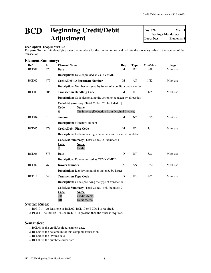### **BCD Beginning Credit/Debit Adjustment**

**Pos: 020 Max: 1 Heading - Mandatory Loop: N/A Elements: 8**

#### **User Option (Usage):** Must use

Purpose: To transmit identifying dates and numbers for the transaction set and indicate the monetary value to the receiver of the transaction

#### **Element Summary:**

| Ref<br>BCD <sub>01</sub> | $\underline{\mathbf{Id}}$<br>373 | <b>Element Name</b><br>Date                                                                                                                      | Req<br>M     | <b>Type</b><br>DT | Min/Max<br>8/8 | <b>Usage</b><br>Must use |
|--------------------------|----------------------------------|--------------------------------------------------------------------------------------------------------------------------------------------------|--------------|-------------------|----------------|--------------------------|
|                          |                                  | <b>Description:</b> Date expressed as CCYYMMDD                                                                                                   |              |                   |                |                          |
| BCD <sub>02</sub>        | 475                              | <b>Credit/Debit Adjustment Number</b>                                                                                                            | M            | AN                | 1/22           | Must use                 |
|                          |                                  | <b>Description:</b> Number assigned by issuer of a credit or debit memo                                                                          |              |                   |                |                          |
| BCD <sub>03</sub>        | 305                              | <b>Transaction Handling Code</b>                                                                                                                 | M            | ID                | 1/2            | Must use                 |
|                          |                                  | <b>Description:</b> Code designating the action to be taken by all parties                                                                       |              |                   |                |                          |
|                          |                                  | CodeList Summary (Total Codes: 23, Included: 1)<br><b>Name</b><br><b>Code</b><br>Off Invoice (Deduction from Original Invoice)<br>$\overline{A}$ |              |                   |                |                          |
| BCD <sub>04</sub>        | 610                              | Amount                                                                                                                                           | M            | N <sub>2</sub>    | 1/15           | Must use                 |
|                          |                                  | <b>Description:</b> Monetary amount                                                                                                              |              |                   |                |                          |
| BCD <sub>05</sub>        | 478                              | <b>Credit/Debit Flag Code</b>                                                                                                                    | M            | ID                | 1/1            | Must use                 |
|                          |                                  | <b>Description:</b> Code indicating whether amount is a credit or debit                                                                          |              |                   |                |                          |
|                          |                                  | CodeList Summary (Total Codes: 2, Included: 1)<br>Code<br><b>Name</b><br>$\overline{C}$<br>Credit                                                |              |                   |                |                          |
| BCD <sub>06</sub>        | 373                              | Date                                                                                                                                             | $\mathbf{O}$ | DT                | 8/8            | Must use                 |
|                          |                                  | Description: Date expressed as CCYYMMDD                                                                                                          |              |                   |                |                          |
| BCD07                    | 76                               | <b>Invoice Number</b>                                                                                                                            | X            | AN                | 1/22           | Must use                 |
|                          |                                  | <b>Description:</b> Identifying number assigned by issuer                                                                                        |              |                   |                |                          |
| BCD <sub>12</sub>        | 640                              | <b>Transaction Type Code</b>                                                                                                                     | $\Omega$     | ID                | 2/2            | Must use                 |
|                          |                                  | <b>Description:</b> Code specifying the type of transaction                                                                                      |              |                   |                |                          |
|                          |                                  | CodeList Summary (Total Codes: 446, Included: 2)<br>Code<br>Name<br>CR<br>Credit Memo<br>DR<br>Debit Memo                                        |              |                   |                |                          |

#### **Syntax Rules:**

1.R071014 - At least one of BCD07, BCD10 or BCD14 is required.

2. P1314 - If either BCD13 or BCD14 is present, then the other is required.

#### **Semantics:**

1.BCD01 is the credit/debit adjustment date.

2.BCD04 is the net amount of this complete transaction.

3.BCD06 is the invoice date.

4.BCD09 is the purchase order date.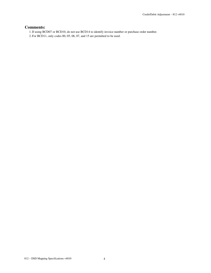#### **Comments:**

1.If using BCD07 or BCD10, do not use BCD14 to identify invoice number or purchase order number.

2. For BCD11, only codes 00, 05, 06, 07, and 15 are permitted to be used.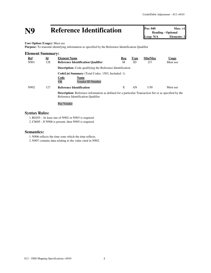# **N9 Reference Identification Pos: 040 Max: >1**<br> **Loop: N/A Elements: 2**<br> **Reference Identification**

**Heading - Optional Elements: 2** 

**User Option (Usage):** Must use

**Purpose:** To transmit identifying information as specified by the Reference Identification Qualifier

| <b>Element Summary:</b> |                           |                                                                                                                                                    |            |             |         |              |
|-------------------------|---------------------------|----------------------------------------------------------------------------------------------------------------------------------------------------|------------|-------------|---------|--------------|
| <u>Ref</u>              | $\underline{\mathbf{Id}}$ | <b>Element Name</b>                                                                                                                                | <u>Req</u> | <b>Type</b> | Min/Max | <b>Usage</b> |
| N901                    | 128                       | <b>Reference Identification Qualifier</b>                                                                                                          | М          | ID          | 2/3     | Must use     |
|                         |                           | <b>Description:</b> Code qualifying the Reference Identification                                                                                   |            |             |         |              |
|                         |                           | <b>CodeList Summary</b> (Total Codes: 1503, Included: 1)                                                                                           |            |             |         |              |
|                         |                           | <b>Code</b><br><b>Name</b>                                                                                                                         |            |             |         |              |
|                         |                           | <b>VR</b><br>Vendor ID Number                                                                                                                      |            |             |         |              |
| N902                    | 127                       | <b>Reference Identification</b>                                                                                                                    | X          | AN          | 1/30    | Must use     |
|                         |                           | <b>Description:</b> Reference information as defined for a particular Transaction Set or as specified by the<br>Reference Identification Qualifier |            |             |         |              |
|                         |                           | Pav Vendor                                                                                                                                         |            |             |         |              |

#### **Syntax Rules:**

1.R0203 - At least one of N902 or N903 is required.

2.C0605 - If N906 is present, then N905 is required.

#### **Semantics:**

1. N906 reflects the time zone which the time reflects.

2. N907 contains data relating to the value cited in N902.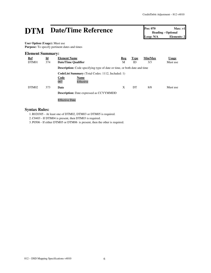# **DTM** Date/Time Reference **Pos: 070** Max: >1<br> **Pos: 070** Max: >1<br>
Loop: N/A<br> **Elements: 2**

**Heading - Optional Elements: 2** 

**User Option (Usage):** Must use **Purpose:** To specify pertinent dates and times

#### **Element Summary:**

| <u>Ref</u><br>DTM01 | $\underline{\mathbf{Id}}$<br>374 | <b>Element Name</b><br>Date/Time Qualifier                                      | Req<br>М | <b>Type</b><br>ID | Min/Max<br>3/3 | <b>Usage</b><br>Must use |  |  |
|---------------------|----------------------------------|---------------------------------------------------------------------------------|----------|-------------------|----------------|--------------------------|--|--|
|                     |                                  | <b>Description:</b> Code specifying type of date or time, or both date and time |          |                   |                |                          |  |  |
|                     |                                  | <b>CodeList Summary</b> (Total Codes: 1112, Included: 1)                        |          |                   |                |                          |  |  |
|                     |                                  | Code<br><b>Name</b>                                                             |          |                   |                |                          |  |  |
|                     |                                  | 007<br>Effective                                                                |          |                   |                |                          |  |  |
| DTM <sub>02</sub>   | 373                              | Date                                                                            | X        | DT                | 8/8            | Must use                 |  |  |
|                     |                                  | <b>Description:</b> Date expressed as CCYYMMDD                                  |          |                   |                |                          |  |  |
|                     |                                  | <b>Effective Date</b>                                                           |          |                   |                |                          |  |  |

#### **Syntax Rules:**

1.R020305 - At least one of DTM02, DTM03 or DTM05 is required.

2.C0403 - If DTM04 is present, then DTM03 is required.

3. P0506 - If either DTM05 or DTM06 is present, then the other is required.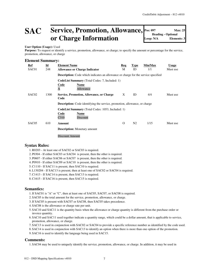### **SAC Service, Promotion, Allowance, or Charge Information**

#### **User Option (Usage):** Used

Purpose: To request or identify a service, promotion, allowance, or charge; to specify the amount or percentage for the service, promotion, allowance, or charge

#### **Element Summary:**

| Ref<br>SAC01      | $\underline{\mathbf{Id}}$<br>248 | <b>Element Name</b><br><b>Allowance or Charge Indicator</b>                                          | Req<br>М | <b>Type</b><br>ID | Min/Max<br>1/1 | <b>Usage</b><br>Must use |
|-------------------|----------------------------------|------------------------------------------------------------------------------------------------------|----------|-------------------|----------------|--------------------------|
|                   |                                  | <b>Description:</b> Code which indicates an allowance or charge for the service specified            |          |                   |                |                          |
|                   |                                  | <b>CodeList Summary</b> (Total Codes: 7, Included: 1)<br>Code<br>Name<br>$\overline{A}$<br>Allowance |          |                   |                |                          |
| SAC <sub>02</sub> | 1300                             | <b>Service, Promotion, Allowance, or Charge</b><br>Code                                              | X        | ID                | 4/4            | Must use                 |
|                   |                                  | <b>Description:</b> Code identifying the service, promotion, allowance, or charge                    |          |                   |                |                          |
|                   |                                  | <b>CodeList Summary</b> (Total Codes: 1053, Included: 1)<br>Code<br>Name                             |          |                   |                |                          |
|                   |                                  | C310<br>Discount                                                                                     |          |                   |                |                          |
| SAC <sub>05</sub> | 610                              | Amount                                                                                               | 0        | N <sub>2</sub>    | 1/15           | Must use                 |
|                   |                                  | <b>Description:</b> Monetary amount                                                                  |          |                   |                |                          |
|                   |                                  | Discount Amount                                                                                      |          |                   |                |                          |

#### **Syntax Rules:**

- 1.R0203 At least one of SAC02 or SAC03 is required.
- 2. P0304 If either SAC03 or SAC04 is present, then the other is required.
- 3. P0607 If either SAC06 or SAC07 is present, then the other is required.
- 4. P0910 If either SAC09 or SAC10 is present, then the other is required.

5.C1110 - If SAC11 is present, then SAC10 is required.

6.L130204 - If SAC13 is present, then at least one of SAC02 or SAC04 is required.

7.C1413 - If SAC14 is present, then SAC13 is required.

8.C1615 - If SAC16 is present, then SAC15 is required.

#### **Semantics:**

- 1.If SAC01 is "A" or "C", then at least one of SAC05, SAC07, or SAC08 is required.
- 2. SAC05 is the total amount for the service, promotion, allowance, or charge.
- 3.If SAC05 is present with SAC07 or SAC08, then SAC05 takes precedence.
- 4. SAC08 is the allowance or charge rate per unit.
- 5. SAC10 and SAC11 is the quantity basis when the allowance or charge quantity is different from the purchase order or invoice quantity.
- 6. SAC10 and SAC11 used together indicate a quantity range, which could be a dollar amount, that is applicable to service, promotion, allowance, or charge.
- 7. SAC13 is used in conjunction with SAC02 or SAC04 to provide a specific reference number as identified by the code used.
- 8. SAC14 is used in conjunction with SAC13 to identify an option when there is more than one option of the promotion.
- 9. SAC16 is used to identify the language being used in SAC15.

#### **Comments:**

1. SAC04 may be used to uniquely identify the service, promotion, allowance, or charge. In addition, it may be used in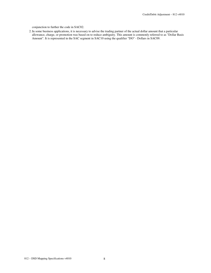conjunction to further the code in SAC02.

2.In some business applications, it is necessary to advise the trading partner of the actual dollar amount that a particular allowance, charge, or promotion was based on to reduce ambiguity. This amount is commonly referred to as "Dollar Basis Amount". It is represented in the SAC segment in SAC10 using the qualifier "DO" - Dollars in SAC09.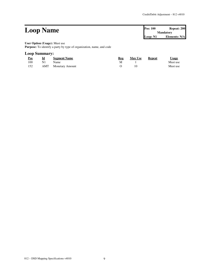#### **Loop Name Pos:** 100 **Repeat:** 200 **Mandatory Loop: N1 Elements: N/A User Option (Usage):** Must use **Purpose:** To identify a party by type of organization, name, and code

#### **Loop Summary:**

| Pos   | Id | <b>Segment Name</b>        | Req | <b>Max Use</b> | Repeat | <u>Usage</u> |
|-------|----|----------------------------|-----|----------------|--------|--------------|
| 100   | N1 | <b>Name</b>                |     |                |        | Must use     |
| - 152 |    | <b>AMT</b> Monetary Amount |     |                |        | Must use     |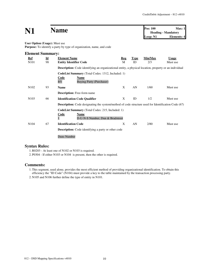## **N1 Name Pos:**  $100$  **Max:** 1<br>**Pos:**  $100$  **Max:** 1<br>**Heading** - Mandatory

**Heading - Mandatory Loop: N1 Elements: 4**

#### **User Option (Usage):** Must use

**Purpose:** To identify a party by type of organization, name, and code

| <b>Element Summary:</b> |                           |                                                                                                               |     |             |         |              |  |  |  |  |
|-------------------------|---------------------------|---------------------------------------------------------------------------------------------------------------|-----|-------------|---------|--------------|--|--|--|--|
| <b>Ref</b>              | $\underline{\mathbf{Id}}$ | <b>Element Name</b>                                                                                           | Req | <b>Type</b> | Min/Max | <b>Usage</b> |  |  |  |  |
| N <sub>10</sub> 1       | 98                        | <b>Entity Identifier Code</b>                                                                                 | M   | ID          | 2/3     | Must use     |  |  |  |  |
|                         |                           | <b>Description:</b> Code identifying an organizational entity, a physical location, property or an individual |     |             |         |              |  |  |  |  |
|                         |                           | CodeList Summary (Total Codes: 1312, Included: 1)                                                             |     |             |         |              |  |  |  |  |
|                         |                           | <b>Code</b><br>Name                                                                                           |     |             |         |              |  |  |  |  |
|                         |                           | <b>Buying Party (Purchaser)</b><br>ΒY                                                                         |     |             |         |              |  |  |  |  |
| N <sub>102</sub>        | 93                        | <b>Name</b>                                                                                                   | X   | AN          | 1/60    | Must use     |  |  |  |  |
|                         |                           | <b>Description:</b> Free-form name                                                                            |     |             |         |              |  |  |  |  |
| N <sub>10</sub> 3       | 66                        | <b>Identification Code Qualifier</b>                                                                          | X   | ID          | 1/2     | Must use     |  |  |  |  |
|                         |                           | <b>Description:</b> Code designating the system/method of code structure used for Identification Code (67)    |     |             |         |              |  |  |  |  |
|                         |                           | <b>CodeList Summary</b> (Total Codes: 215, Included: 1)                                                       |     |             |         |              |  |  |  |  |
|                         |                           | Code<br>Name                                                                                                  |     |             |         |              |  |  |  |  |
|                         |                           | D-U-N-S Number, Dun & Bradstreet                                                                              |     |             |         |              |  |  |  |  |
| N <sub>104</sub>        | 67                        | <b>Identification Code</b>                                                                                    | X   | AN          | 2/80    | Must use     |  |  |  |  |
|                         |                           | <b>Description:</b> Code identifying a party or other code                                                    |     |             |         |              |  |  |  |  |
|                         |                           | Duns Number                                                                                                   |     |             |         |              |  |  |  |  |

#### **Syntax Rules:**

1.R0203 - At least one of N102 or N103 is required.

2. P0304 - If either N103 or N104 is present, then the other is required.

#### **Comments:**

1.This segment, used alone, provides the most efficient method of providing organizational identification. To obtain this efficiency the "ID Code" (N104) must provide a key to the table maintained by the transaction processing party.

2. N105 and N106 further define the type of entity in N101.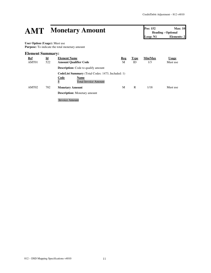# **AMT Monetary Amount Pos: 152 Max: 10**<br> **Pos: 152 Max: 10**<br> **Elements: 2**<br> **Elements: 2**

**Heading - Optional Elements: 2** 

**User Option (Usage):** Must use **Purpose:** To indicate the total monetary amount

#### **Element Summary:**

| <u>Ref</u><br>AMT01 | $\underline{\mathbf{Id}}$<br>522 | <b>Element Name</b><br><b>Amount Qualifier Code</b>                                                          | <b>Req</b><br>М | <b>Type</b><br>ID | Min/Max<br>1/3 | <b>Usage</b><br>Must use |
|---------------------|----------------------------------|--------------------------------------------------------------------------------------------------------------|-----------------|-------------------|----------------|--------------------------|
|                     |                                  | <b>Description:</b> Code to qualify amount                                                                   |                 |                   |                |                          |
|                     |                                  | <b>CodeList Summary</b> (Total Codes: 1473, Included: 1)<br>Code<br>Name<br>5<br><b>Total Invoice Amount</b> |                 |                   |                |                          |
| AMT02               | 782                              | <b>Monetary Amount</b>                                                                                       | М               | R                 | 1/18           | Must use                 |
|                     |                                  | <b>Description:</b> Monetary amount                                                                          |                 |                   |                |                          |
|                     |                                  | <b>Invoice Amount</b>                                                                                        |                 |                   |                |                          |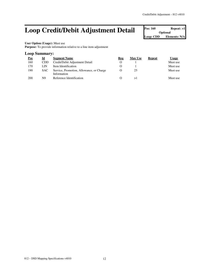### Loop Credit/Debit Adjustment Detail **Pos: 160** *Postional* **Repeat: >1**

**Optional Loop: CDD Elements: N/A**

#### **User Option (Usage):** Must use

Purpose: To provide information relative to a line item adjustment

#### **Loop Summary:**

| Pos | Id   | <b>Segment Name</b>                                     | Req       | <b>Max Use</b> | Repeat | Usage    |
|-----|------|---------------------------------------------------------|-----------|----------------|--------|----------|
| 160 | CDD. | Credit/Debit Adjustment Detail                          |           |                |        | Must use |
| 170 | LIN  | Item Identification                                     | $\lambda$ |                |        | Must use |
| 190 | SAC. | Service, Promotion, Allowance, or Charge<br>Information |           | 25             |        | Must use |
| 200 | N9   | Reference Identification                                | $\lambda$ | >⊥             |        | Must use |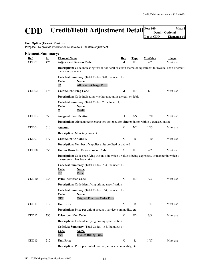### **CDD Credit/Debit Adjustment Detail Pos: 160 Max: 1 Detail Copy: CDD Clements: 10 CDD Clements: 10 Detail - Optional**

**Elements: 10** 

**User Option (Usage):** Must use

Purpose: To provide information relative to a line item adjustment

| <b>Element Summary:</b> |                           |                                                                                                                                       |              |                |         |          |  |  |
|-------------------------|---------------------------|---------------------------------------------------------------------------------------------------------------------------------------|--------------|----------------|---------|----------|--|--|
| <u>Ref</u>              | $\underline{\mathbf{Id}}$ | <b>Element Name</b>                                                                                                                   | Req          | <u>Type</u>    | Min/Max | Usage    |  |  |
| CDD <sub>01</sub>       | 426                       | <b>Adjustment Reason Code</b>                                                                                                         | M            | ID             | 2/2     | Must use |  |  |
|                         |                           | Description: Code indicating reason for debit or credit memo or adjustment to invoice, debit or credit<br>memo, or payment            |              |                |         |          |  |  |
|                         |                           | CodeList Summary (Total Codes: 370, Included: 1)<br><b>Code</b><br><b>Name</b><br>02<br>Allowance/Charge Error                        |              |                |         |          |  |  |
| CDD <sub>02</sub>       | 478                       | <b>Credit/Debit Flag Code</b>                                                                                                         | M            | ID             | 1/1     | Must use |  |  |
|                         |                           | <b>Description:</b> Code indicating whether amount is a credit or debit                                                               |              |                |         |          |  |  |
|                         |                           | CodeList Summary (Total Codes: 2, Included: 1)<br>Code<br>Name<br>$\overline{C}$<br>Credit                                            |              |                |         |          |  |  |
| CDD <sub>03</sub>       | 350                       | <b>Assigned Identification</b>                                                                                                        | $\mathbf{O}$ | AN             | 1/20    | Must use |  |  |
|                         |                           | <b>Description:</b> Alphanumeric characters assigned for differentiation within a transaction set                                     |              |                |         |          |  |  |
| CDD <sub>04</sub>       | 610                       | Amount                                                                                                                                | X            | N <sub>2</sub> | 1/15    | Must use |  |  |
|                         |                           | <b>Description:</b> Monetary amount                                                                                                   |              |                |         |          |  |  |
| CDD07                   | 477                       | <b>Credit/Debit Quantity</b>                                                                                                          | X            | $\mathbb{R}$   | 1/10    | Must use |  |  |
|                         |                           | <b>Description:</b> Number of supplier units credited or debited                                                                      |              |                |         |          |  |  |
| CDD <sub>08</sub>       | 355                       | Unit or Basis for Measurement Code                                                                                                    | X            | ID             | 2/2     | Must use |  |  |
|                         |                           | <b>Description:</b> Code specifying the units in which a value is being expressed, or manner in which a<br>measurement has been taken |              |                |         |          |  |  |
|                         |                           | CodeList Summary (Total Codes: 794, Included: 1)<br><b>Name</b><br><u>Code</u><br>PC<br>Piece                                         |              |                |         |          |  |  |
| CDD <sub>10</sub>       | 236                       | <b>Price Identifier Code</b>                                                                                                          | X            | ID             | 3/3     | Must use |  |  |
|                         |                           | <b>Description:</b> Code identifying pricing specification                                                                            |              |                |         |          |  |  |
|                         |                           | CodeList Summary (Total Codes: 164, Included: 1)<br><u>Code</u><br><b>Name</b><br><b>OPP</b><br>Original Purchase Order Price         |              |                |         |          |  |  |
| CDD11                   | 212                       | <b>Unit Price</b>                                                                                                                     | X            | $\mathbf R$    | 1/17    | Must use |  |  |
|                         |                           | <b>Description:</b> Price per unit of product, service, commodity, etc.                                                               |              |                |         |          |  |  |
| CDD12                   | 236                       | <b>Price Identifier Code</b>                                                                                                          | X            | ID             | 3/3     | Must use |  |  |
|                         |                           | <b>Description:</b> Code identifying pricing specification                                                                            |              |                |         |          |  |  |
|                         |                           | CodeList Summary (Total Codes: 164, Included: 1)<br><b>Name</b><br><u>Code</u><br><b>Invoice Billing Price</b><br><b>INV</b>          |              |                |         |          |  |  |
| CDD <sub>13</sub>       | 212                       | <b>Unit Price</b>                                                                                                                     | X            | R              | 1/17    | Must use |  |  |
|                         |                           | Description: Price per unit of product, service, commodity, etc.                                                                      |              |                |         |          |  |  |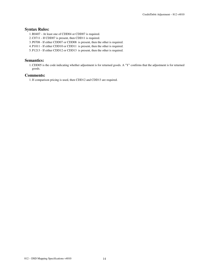#### **Syntax Rules:**

- 1.R0407 At least one of CDD04 or CDD07 is required.
- 2.C0711 If CDD07 is present, then CDD11 is required.
- 3. P0708 If either CDD07 or CDD08 is present, then the other is required.
- 4. P1011 If either CDD10 or CDD11 is present, then the other is required.
- 5. P1213 If either CDD12 or CDD13 is present, then the other is required.

#### **Semantics:**

1.CDD05 is the code indicating whether adjustment is for returned goods. A "Y" confirms that the adjustment is for returned goods.

#### **Comments:**

1.If comparison pricing is used, then CDD12 and CDD13 are required.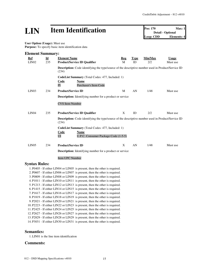## **LIN Item Identification Pos: 170 Max: 1**<br> **Detail - Optional**<br> **Loop: CDD Elements: 4**

**Detail - Optional Loop: CDD** 

**User Option (Usage):** Must use<br>**Purpose:** To specify basic item i **Purpose:** To specify basic item identification data

|                         |                                  | <b>Purpose:</b> To specify basic nem identification data                                                              |          |                   |                |                          |
|-------------------------|----------------------------------|-----------------------------------------------------------------------------------------------------------------------|----------|-------------------|----------------|--------------------------|
| <b>Element Summary:</b> |                                  |                                                                                                                       |          |                   |                |                          |
| Ref<br>LIN02            | $\underline{\mathbf{Id}}$<br>235 | <b>Element Name</b><br><b>Product/Service ID Qualifier</b>                                                            | Req<br>M | <b>Type</b><br>ID | Min/Max<br>2/2 | <b>Usage</b><br>Must use |
|                         |                                  | Description: Code identifying the type/source of the descriptive number used in Product/Service ID<br>(234)           |          |                   |                |                          |
|                         |                                  | CodeList Summary (Total Codes: 477, Included: 1)<br>Name<br>Code<br>PI<br><b>Purchaser's Item Code</b>                |          |                   |                |                          |
| LIN03                   | 234                              | <b>Product/Service ID</b>                                                                                             | M        | AN                | 1/48           | Must use                 |
|                         |                                  | <b>Description:</b> Identifying number for a product or service                                                       |          |                   |                |                          |
|                         |                                  | <b>CVS</b> Item Number                                                                                                |          |                   |                |                          |
| LIN <sub>04</sub>       | 235                              | <b>Product/Service ID Qualifier</b>                                                                                   | X        | ID                | 2/2            | Must use                 |
|                         |                                  | <b>Description:</b> Code identifying the type/source of the descriptive number used in Product/Service ID<br>(234)    |          |                   |                |                          |
|                         |                                  | CodeList Summary (Total Codes: 477, Included: 1)<br>Code<br><b>Name</b><br>U.P.C. Consumer Package Code (1-5-5)<br>UI |          |                   |                |                          |
| LIN <sub>05</sub>       | 234                              | <b>Product/Service ID</b>                                                                                             | X        | AN                | 1/48           | Must use                 |
|                         |                                  | <b>Description:</b> Identifying number for a product or service                                                       |          |                   |                |                          |
|                         |                                  | Item UPC Number                                                                                                       |          |                   |                |                          |
| <b>Syntax Rules:</b>    |                                  |                                                                                                                       |          |                   |                |                          |
|                         |                                  | 1. P0405 - If either LIN04 or LIN05 is present, then the other is required.                                           |          |                   |                |                          |
|                         |                                  | 2. P0607 - If either LIN06 or LIN07 is present, then the other is required.                                           |          |                   |                |                          |
|                         |                                  | 3. P0809 - If either LIN08 or LIN09 is present, then the other is required.                                           |          |                   |                |                          |
|                         |                                  | $\lambda$ D1011 IC at IIBHO IIBHI (and at a control of the state of $\lambda$                                         |          |                   |                |                          |

4. P1011 - If either LIN10 or LIN11 is present, then the other is required. 5. P1213 - If either LIN12 or LIN13 is present, then the other is required. 6. P1415 - If either LIN14 or LIN15 is present, then the other is required. 7. P1617 - If either LIN16 or LIN17 is present, then the other is required. 8. P1819 - If either LIN18 or LIN19 is present, then the other is required. 9. P2021 - If either LIN20 or LIN21 is present, then the other is required. 10. P2223 - If either LIN22 or LIN23 is present, then the other is required. 11. P2425 - If either LIN24 or LIN25 is present, then the other is required. 12. P2627 - If either LIN26 or LIN27 is present, then the other is required. 13. P2829 - If either LIN28 or LIN29 is present, then the other is required.

14. P3031 - If either LIN30 or LIN31 is present, then the other is required.

#### **Semantics:**

1.LIN01 is the line item identification

#### **Comments:**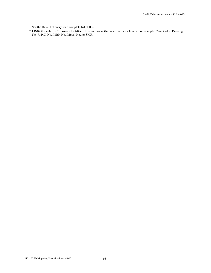1. See the Data Dictionary for a complete list of IDs.

2.LIN02 through LIN31 provide for fifteen different product/service IDs for each item. For example: Case, Color, Drawing No., U.P.C. No., ISBN No., Model No., or SKU.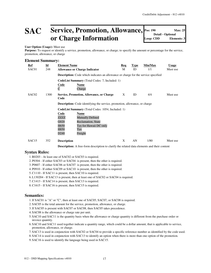### SAC **Service, Promotion, Allowance, Pos: 190 Max: 25 Optional or Charge Information**

#### **User Option (Usage):** Must use

Purpose: To request or identify a service, promotion, allowance, or charge; to specify the amount or percentage for the service, promotion, allowance, or charge

#### **Element Summary:**

| <u>Ref</u><br>SAC01 | $\underline{\mathbf{Id}}$<br>248 | <b>Element Name</b><br><b>Allowance or Charge Indicator</b>                                              | Req<br>M | <b>Type</b><br>ID | Min/Max<br>1/1 | <b>Usage</b><br>Must use |
|---------------------|----------------------------------|----------------------------------------------------------------------------------------------------------|----------|-------------------|----------------|--------------------------|
|                     |                                  | <b>Description:</b> Code which indicates an allowance or charge for the service specified                |          |                   |                |                          |
|                     |                                  | <b>CodeList Summary</b> (Total Codes: 7, Included: 1)<br><b>Code</b><br>Name<br>$\overline{C}$<br>Charge |          |                   |                |                          |
| SAC <sub>02</sub>   | 1300                             | Service, Promotion, Allowance, or Charge<br>Code                                                         | X        | ID                | 4/4            | Must use                 |
|                     |                                  | <b>Description:</b> Code identifying the service, promotion, allowance, or charge                        |          |                   |                |                          |
|                     |                                  | <b>CodeList Summary</b> (Total Codes: 1054, Included: 1)                                                 |          |                   |                |                          |
|                     |                                  | Code<br><b>Name</b>                                                                                      |          |                   |                |                          |
|                     |                                  | <b>Mutually Defined</b><br>ZZZZ                                                                          |          |                   |                |                          |
|                     |                                  | G020<br><b>Reclamation, State</b>                                                                        |          |                   |                |                          |
|                     |                                  | H650<br>Tax for Hawaii DC only                                                                           |          |                   |                |                          |
|                     |                                  | H850<br>Tax<br>Freight<br>D240                                                                           |          |                   |                |                          |
| SAC <sub>15</sub>   | 352                              | <b>Description</b>                                                                                       | X        | AN                | 1/80           | Must use                 |

**Description:** A free-form description to clarify the related data elements and their content

#### **Syntax Rules:**

- 1.R0203 At least one of SAC02 or SAC03 is required.
- 2. P0304 If either SAC03 or SAC04 is present, then the other is required.
- 3. P0607 If either SAC06 or SAC07 is present, then the other is required.
- 4. P0910 If either SAC09 or SAC10 is present, then the other is required.
- 5.C1110 If SAC11 is present, then SAC10 is required.
- 6.L130204 If SAC13 is present, then at least one of SAC02 or SAC04 is required.
- 7.C1413 If SAC14 is present, then SAC13 is required.
- 8.C1615 If SAC16 is present, then SAC15 is required.

#### **Semantics:**

- 1.If SAC01 is "A" or "C", then at least one of SAC05, SAC07, or SAC08 is required.
- 2. SAC05 is the total amount for the service, promotion, allowance, or charge.
- 3.If SAC05 is present with SAC07 or SAC08, then SAC05 takes precedence.
- 4. SAC08 is the allowance or charge rate per unit.
- 5. SAC10 and SAC11 is the quantity basis when the allowance or charge quantity is different from the purchase order or invoice quantity.
- 6. SAC10 and SAC11 used together indicate a quantity range, which could be a dollar amount, that is applicable to service, promotion, allowance, or charge.
- 7. SAC13 is used in conjunction with SAC02 or SAC04 to provide a specific reference number as identified by the code used.
- 8. SAC14 is used in conjunction with SAC13 to identify an option when there is more than one option of the promotion.
- 9. SAC16 is used to identify the language being used in SAC15.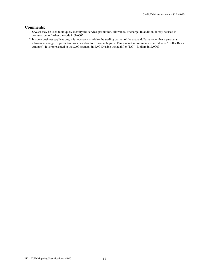#### **Comments:**

- 1. SAC04 may be used to uniquely identify the service, promotion, allowance, or charge. In addition, it may be used in conjunction to further the code in SAC02.
- 2.In some business applications, it is necessary to advise the trading partner of the actual dollar amount that a particular allowance, charge, or promotion was based on to reduce ambiguity. This amount is commonly referred to as "Dollar Basis Amount". It is represented in the SAC segment in SAC10 using the qualifier "DO" - Dollars in SAC09.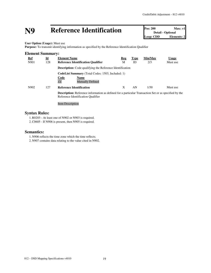# **N9 Reference Identification Pos: 200 Max: >1**<br> **Detail - Optional**<br> **Loop: CDD Elements: 2**

**Detail - Optional Elements: 2** 

**User Option (Usage):** Must use

**Purpose:** To transmit identifying information as specified by the Reference Identification Qualifier

| $\underline{\mathbf{Id}}$ | <b>Element Name</b>                                         | Req                                                | <b>Type</b>                                              | Min/Max                                                          | <b>Usage</b>                                                                                                 |
|---------------------------|-------------------------------------------------------------|----------------------------------------------------|----------------------------------------------------------|------------------------------------------------------------------|--------------------------------------------------------------------------------------------------------------|
| 128                       | <b>Reference Identification Qualifier</b>                   | M                                                  | ID                                                       | 2/3                                                              | Must use                                                                                                     |
|                           |                                                             |                                                    |                                                          |                                                                  |                                                                                                              |
|                           | <b>Code</b><br><b>Name</b><br>ZZ<br><b>Mutually Defined</b> |                                                    |                                                          |                                                                  |                                                                                                              |
| 127                       | <b>Reference Identification</b>                             | X                                                  | AN                                                       | 1/30                                                             | Must use                                                                                                     |
|                           | Reference Identification Qualifier                          |                                                    |                                                          |                                                                  |                                                                                                              |
|                           |                                                             | <b>Element Summary:</b><br><b>Item Description</b> | <b>CodeList Summary</b> (Total Codes: 1503, Included: 1) | <b>Description:</b> Code qualifying the Reference Identification | <b>Description:</b> Reference information as defined for a particular Transaction Set or as specified by the |

#### **Syntax Rules:**

1.R0203 - At least one of N902 or N903 is required.

2.C0605 - If N906 is present, then N905 is required.

#### **Semantics:**

1. N906 reflects the time zone which the time reflects.

2. N907 contains data relating to the value cited in N902.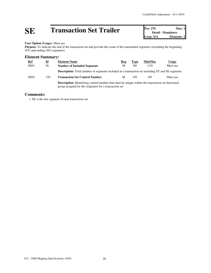# **SE Transaction Set Trailer Pos: 270 Max: 1**<br> **Detail - Mandatory**<br> **Loop: N/A Elements: 2**

**Detail - Mandatory Elements: 2** 

#### **User Option (Usage):** Must use

Purpose: To indicate the end of the transaction set and provide the count of the transmitted segments (including the beginning (ST) and ending (SE) segments)

#### **Element Summary:**

| <b>Ref</b>       | $\underline{\mathbf{Id}}$ | <b>Element Name</b>                                                                                                                                                | Req | <b>Type</b>    | Min/Max | Usage    |  |
|------------------|---------------------------|--------------------------------------------------------------------------------------------------------------------------------------------------------------------|-----|----------------|---------|----------|--|
| SE <sub>01</sub> | 96                        | <b>Number of Included Segments</b>                                                                                                                                 | M   | N <sub>0</sub> | 1/10    | Must use |  |
|                  |                           | <b>Description:</b> Total number of segments included in a transaction set including ST and SE segments                                                            |     |                |         |          |  |
| SE <sub>02</sub> | 329                       | <b>Transaction Set Control Number</b>                                                                                                                              | M   | AN             | 4/9     | Must use |  |
|                  |                           | <b>Description:</b> Identifying control number that must be unique within the transaction set functional<br>group assigned by the originator for a transaction set |     |                |         |          |  |

#### **Comments:**

1. SE is the last segment of each transaction set.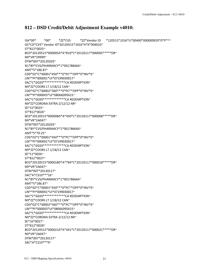#### **812 – DSD Credit/Debit Adjustment Example v4010:**

ISA\*00\* \*00\* \*ZZ\*CVS \*ZZ\*Vendor ID \*120515\*1016\*U\*00400\*000000929\*0\*P\*^~ GS\*CD\*CVS\* Vendor ID\*20120515\*1016\*4\*X\*004010~ ST\*812\*0025~ BCD\*20120515\*000005D\*A\*810\*C\*20120117\*000005\*\*\*\*\*DR~ N9\*VR\*29999~ DTM\*007\*20120203~ N1\*BY\*CVS/PHARMACY\*1\*001786664~ AMT\*5\*186.87~ CDD\*02\*C\*00001\*450\*\*\*0\*PC\*\*OPP\*0\*INV\*0~ LIN\*\*PI\*000001\*UI\*07199030017~ SAC\*C\*G020\*\*\*\*\*\*\*\*\*\*\*\*\*CA REDEMPTION~ N9\*ZZ\*COORS LT 1/18/12 CAN~ CDD\*02\*C\*00002\*360\*\*\*0\*PC\*\*OPP\*0\*INV\*0~ LIN\*\*PI\*000003\*UI\*08066095615~ SAC\*C\*G020\*\*\*\*\*\*\*\*\*\*\*\*\*CA REDEMPTION~ N9\*ZZ\*CORONA EXTRA 2/12/12 NR~ SE\*15\*0025~ ST\*812\*0026~ BCD\*20120515\*000008D\*A\*450\*C\*20120117\*000008\*\*\*\*\*DR~ N9\*VR\*2A047~ DTM\*007\*20120203~ N1\*BY\*CVS/PHARMACY\*1\*001786664~ AMT\*5\*70.25~ CDD\*02\*C\*00001\*450\*\*\*0\*PC\*\*OPP\*0\*INV\*0~ LIN\*\*PI\*000001\*UI\*07199030017~ SAC\*C\*G020\*\*\*\*\*\*\*\*\*\*\*\*\*CA REDEMPTION~ N9\*ZZ\*COORS LT 1/18/12 CAN~ SE\*11\*0026~ ST\*812\*0027~ BCD\*20120515\*000018D\*A\*794\*C\*20120117\*000018\*\*\*\*\*DR~ N9\*VR\*2A047~ DTM\*007\*20120117~ SAC\*A\*C310\*\*\*16~ N1\*BY\*CVS/PHARMACY\*1\*001786664~ AMT\*5\*186.87~ CDD\*02\*C\*00001\*450\*\*\*0\*PC\*\*OPP\*0\*INV\*0~ LIN\*\*PI\*000001\*UI\*07199030017~ SAC\*C\*G020\*\*\*\*\*\*\*\*\*\*\*\*\*CA REDEMPTION~ N9\*ZZ\*COORS LT 1/18/12 CAN~ CDD\*02\*C\*00002\*360\*\*\*0\*PC\*\*OPP\*0\*INV\*0~ LIN\*\*PI\*000003\*UI\*08066095615~ SAC\*C\*G020\*\*\*\*\*\*\*\*\*\*\*\*\*CA REDEMPTION~ N9\*ZZ\*CORONA EXTRA 2/12/12 NR~ SE\*16\*0027~ ST\*812\*0028~ BCD\*20120515\*000021D\*A\*441\*C\*20120117\*000021\*\*\*\*\*DR~ N9\*VR\*2A047~ DTM\*007\*20120117~

SAC\*A\*C310\*\*\*9~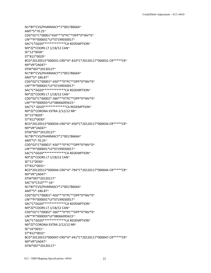DTM\*007\*20120117~

AMT\*5\*70.25~ CDD\*02\*C\*00001\*450\*\*\*0\*PC\*\*OPP\*0\*INV\*0~ LIN\*\*PI\*000001\*UI\*07199030017~ SAC\*C\*G020\*\*\*\*\*\*\*\*\*\*\*\*\*CA REDEMPTION~ N9\*ZZ\*COORS LT 1/18/12 CAN~ SE\*12\*0028~ ST\*812\*0029~ BCD\*20120515\*000031-CRD\*A\*-810\*C\*20120117\*000031-CR\*\*\*\*\*CR~ N9\*VR\*2A047~ DTM\*007\*20120127~ N1\*BY\*CVS/PHARMACY\*1\*001786664~ AMT\*5\*-186.87~ CDD\*02\*C\*00001\*-450\*\*\*0\*PC\*\*OPP\*0\*INV\*0~ LIN\*\*PI\*000001\*UI\*07199030017~ SAC\*C\*G020\*\*\*\*\*\*\*\*\*\*\*\*\*CA REDEMPTION~ N9\*ZZ\*COORS LT 1/18/12 CAN~ CDD\*02\*C\*00002\*-360\*\*\*0\*PC\*\*OPP\*0\*INV\*0~ LIN\*\*PI\*000003\*UI\*08066095615~ SAC\*C\* G020\*\*\*\*\*\*\*\*\*\*\*\*\*CA REDEMPTION~ N9\*ZZ\*CORONA EXTRA 2/12/12 NR~ SE\*15\*0029~ ST\*812\*0030~ BCD\*20120515\*000034-CRD\*A\*-450\*C\*20120117\*000034-CR\*\*\*\*\*CR~ N9\*VR\*2A047~ DTM\*007\*20120127~ N1\*BY\*CVS/PHARMACY\*1\*001786664~ AMT\*5\*-70.25~ CDD\*02\*C\*00001\*-450\*\*\*0\*PC\*\*OPP\*0\*INV\*0~ LIN\*\*PI\*000001\*UI\*07199030017~ SAC\*C\*G020\*\*\*\*\*\*\*\*\*\*\*\*\*CA REDEMPTION~ N9\*ZZ\*COORS LT 1/18/12 CAN~ SE\*11\*0030~ ST\*812\*0031~ BCD\*20120515\*000044-CRD\*A\*-794\*C\*20120117\*000044-CR\*\*\*\*\*CR~ N9\*VR\*2A047~ DTM\*007\*20120117~ SAC\*A\*C310\*\*\*-16~ N1\*BY\*CVS/PHARMACY\*1\*001786664~ AMT\*5\*-186.87~ CDD\*02\*C\*00001\*-450\*\*\*0\*PC\*\*OPP\*0\*INV\*0~ LIN\*\*PI\*000001\*UI\*07199030017~ SAC\*C\*G020\*\*\*\*\*\*\*\*\*\*\*\*\*CA REDEMPTION~ N9\*ZZ\*COORS LT 1/18/12 CAN~ CDD\*02\*C\*00002\*-360\*\*\*0\*PC\*\*OPP\*0\*INV\*0~ LIN\*\*PI\*000003\*UI\*08066095615~ SAC\*C\*G020\*\*\*\*\*\*\*\*\*\*\*\*\*CA REDEMPTION~ N9\*ZZ\*CORONA EXTRA 2/12/12 NR~ SE\*16\*0031~ ST\*812\*0032~ BCD\*20120515\*000047-CRD\*A\*-441\*C\*20120117\*000047-CR\*\*\*\*\*CR~ N9\*VR\*2A047~

N1\*BY\*CVS/PHARMACY\*1\*001786664~